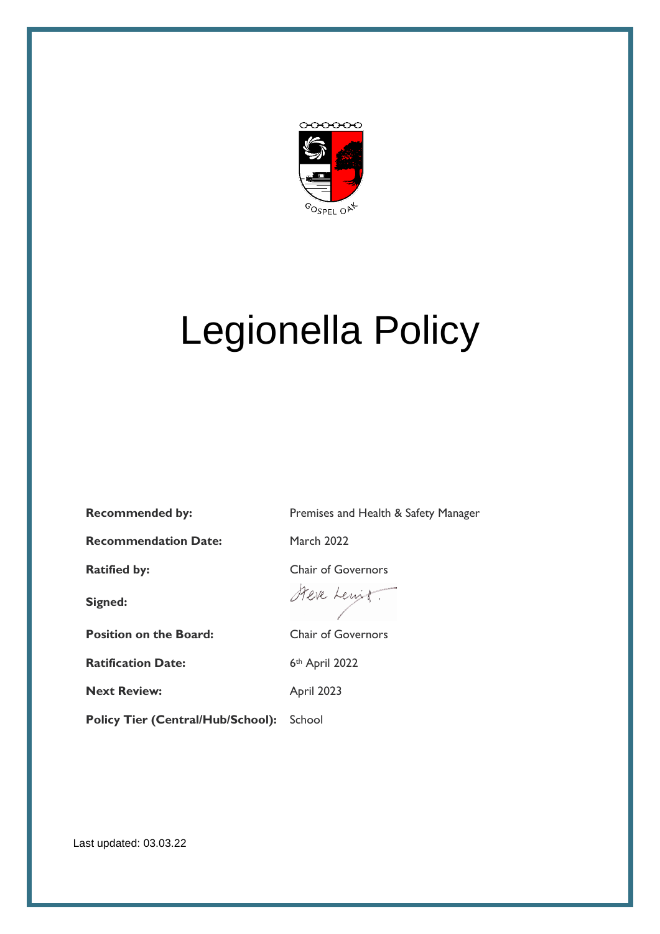

# Legionella Policy

**Recommendation Date:** March 2022

**Signed:**

**Position on the Board:** Chair of Governors

**Ratification Date:** 6th April 2022

**Next Review:** April 2023

Policy Tier (Central/Hub/School): School

**Recommended by:** Premises and Health & Safety Manager

**Ratified by:** Chair of Governors

Steve Lewit.

Last updated: 03.03.22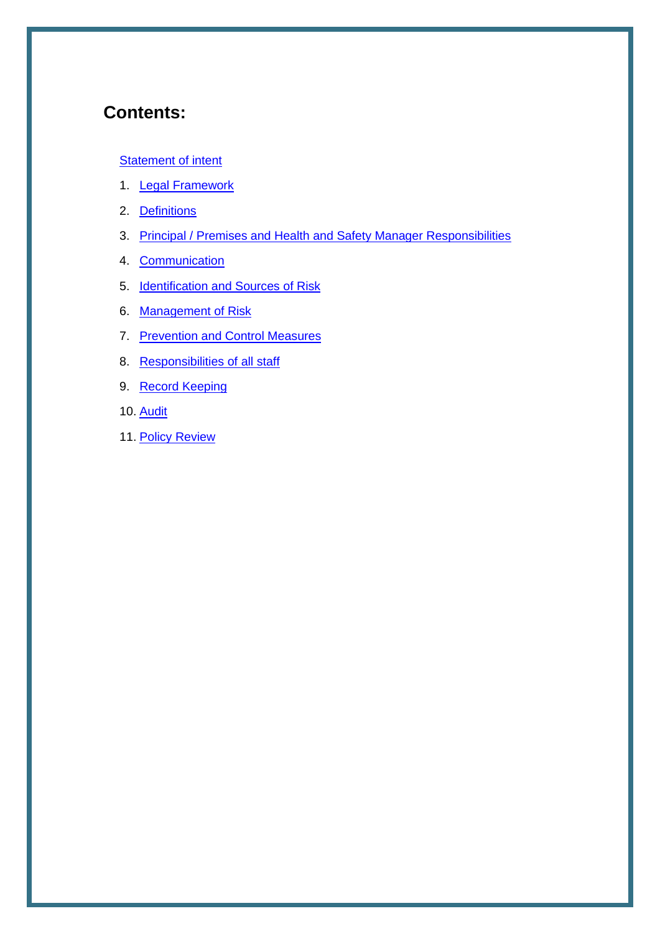# **Contents:**

#### **[Statement of intent](#page-2-0)**

- 1. [Legal Framework](#page-3-0)
- 2. Definitions
- 3. Principal / Premises and Health and Safety Manager Responsibilities
- 4. [Communication](#page-3-1)
- 5. [Identification and Sources of Risk](#page-4-0)
- 6. [Management of Risk](#page-4-1)
- 7. [Prevention and Control Measures](#page-5-0)
- 8. [Responsibilities of all staff](#page-6-0)
- 9. Record Keeping
- 10. Audit
- 11. Policy Review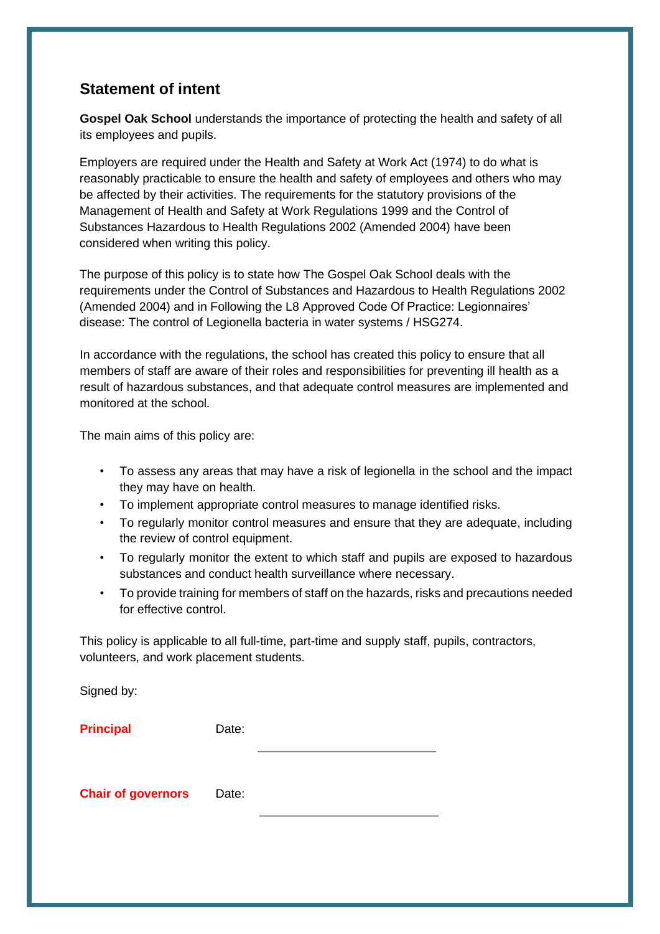### <span id="page-2-0"></span>**Statement of intent**

**Gospel Oak School** understands the importance of protecting the health and safety of all its employees and pupils.

Employers are required under the Health and Safety at Work Act (1974) to do what is reasonably practicable to ensure the health and safety of employees and others who may be affected by their activities. The requirements for the statutory provisions of the Management of Health and Safety at Work Regulations 1999 and the Control of Substances Hazardous to Health Regulations 2002 (Amended 2004) have been considered when writing this policy.

The purpose of this policy is to state how The Gospel Oak School deals with the requirements under the Control of Substances and Hazardous to Health Regulations 2002 (Amended 2004) and in Following the L8 Approved Code Of Practice: Legionnaires' disease: The control of Legionella bacteria in water systems / HSG274.

In accordance with the regulations, the school has created this policy to ensure that all members of staff are aware of their roles and responsibilities for preventing ill health as a result of hazardous substances, and that adequate control measures are implemented and monitored at the school.

The main aims of this policy are:

- To assess any areas that may have a risk of legionella in the school and the impact they may have on health.
- To implement appropriate control measures to manage identified risks.
- To regularly monitor control measures and ensure that they are adequate, including the review of control equipment.
- To regularly monitor the extent to which staff and pupils are exposed to hazardous substances and conduct health surveillance where necessary.
- To provide training for members of staff on the hazards, risks and precautions needed for effective control.

This policy is applicable to all full-time, part-time and supply staff, pupils, contractors, volunteers, and work placement students.

Signed by:

**Principal Date:** 

**Chair of governors** Date: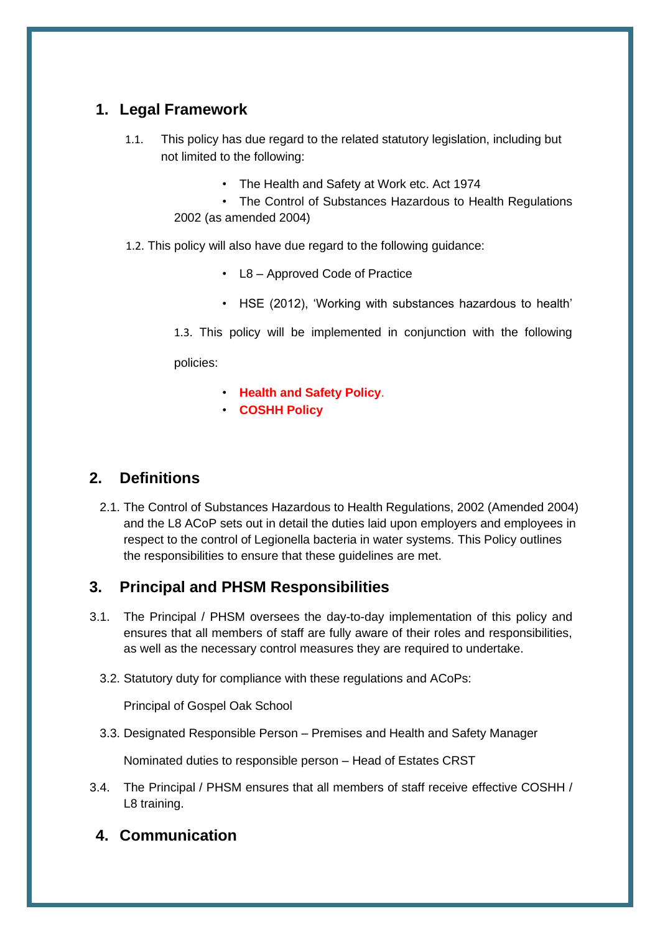### <span id="page-3-0"></span>**1. Legal Framework**

- 1.1. This policy has due regard to the related statutory legislation, including but not limited to the following:
	- The Health and Safety at Work etc. Act 1974
	- The Control of Substances Hazardous to Health Regulations 2002 (as amended 2004)
- 1.2. This policy will also have due regard to the following guidance:
	- L8 Approved Code of Practice
	- HSE (2012), 'Working with substances hazardous to health'

1.3. This policy will be implemented in conjunction with the following

policies:

- **Health and Safety Policy**.
- **COSHH Policy**

### **2. Definitions**

2.1. The Control of Substances Hazardous to Health Regulations, 2002 (Amended 2004) and the L8 ACoP sets out in detail the duties laid upon employers and employees in respect to the control of Legionella bacteria in water systems. This Policy outlines the responsibilities to ensure that these guidelines are met.

### **3. Principal and PHSM Responsibilities**

- <span id="page-3-1"></span>3.1. The Principal / PHSM oversees the day-to-day implementation of this policy and ensures that all members of staff are fully aware of their roles and responsibilities, as well as the necessary control measures they are required to undertake.
	- 3.2. Statutory duty for compliance with these regulations and ACoPs:

Principal of Gospel Oak School

3.3. Designated Responsible Person – Premises and Health and Safety Manager

Nominated duties to responsible person – Head of Estates CRST

3.4. The Principal / PHSM ensures that all members of staff receive effective COSHH / L8 training.

### **4. Communication**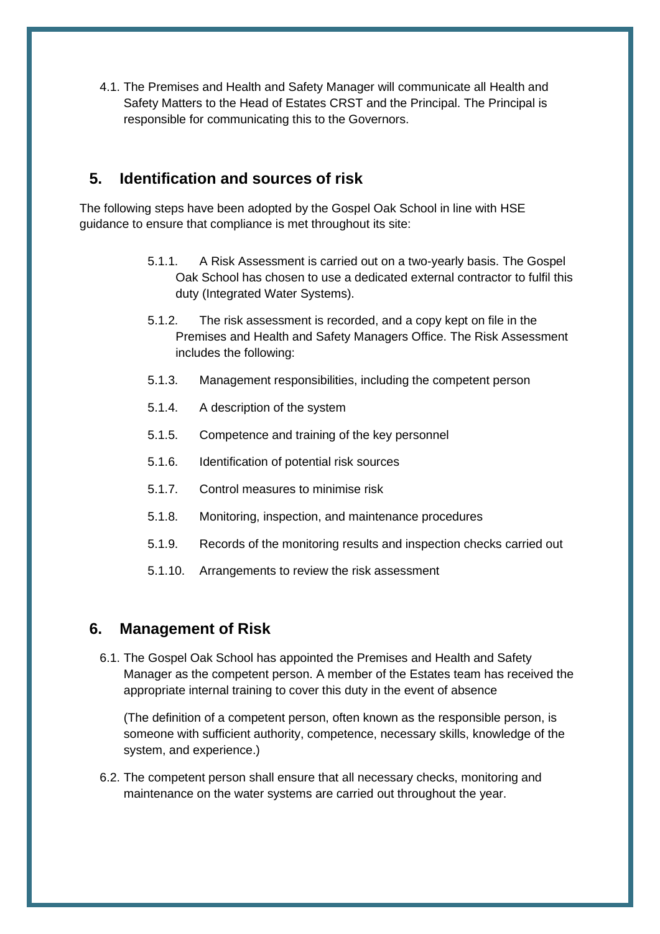<span id="page-4-0"></span>4.1. The Premises and Health and Safety Manager will communicate all Health and Safety Matters to the Head of Estates CRST and the Principal. The Principal is responsible for communicating this to the Governors.

#### **5. Identification and sources of risk**

<span id="page-4-1"></span>The following steps have been adopted by the Gospel Oak School in line with HSE guidance to ensure that compliance is met throughout its site:

- 5.1.1. A Risk Assessment is carried out on a two-yearly basis. The Gospel Oak School has chosen to use a dedicated external contractor to fulfil this duty (Integrated Water Systems).
- 5.1.2. The risk assessment is recorded, and a copy kept on file in the Premises and Health and Safety Managers Office. The Risk Assessment includes the following:
- 5.1.3. Management responsibilities, including the competent person
- 5.1.4. A description of the system
- 5.1.5. Competence and training of the key personnel
- 5.1.6. Identification of potential risk sources
- 5.1.7. Control measures to minimise risk
- 5.1.8. Monitoring, inspection, and maintenance procedures
- 5.1.9. Records of the monitoring results and inspection checks carried out
- 5.1.10. Arrangements to review the risk assessment

#### **6. Management of Risk**

6.1. The Gospel Oak School has appointed the Premises and Health and Safety Manager as the competent person. A member of the Estates team has received the appropriate internal training to cover this duty in the event of absence

(The definition of a competent person, often known as the responsible person, is someone with sufficient authority, competence, necessary skills, knowledge of the system, and experience.)

6.2. The competent person shall ensure that all necessary checks, monitoring and maintenance on the water systems are carried out throughout the year.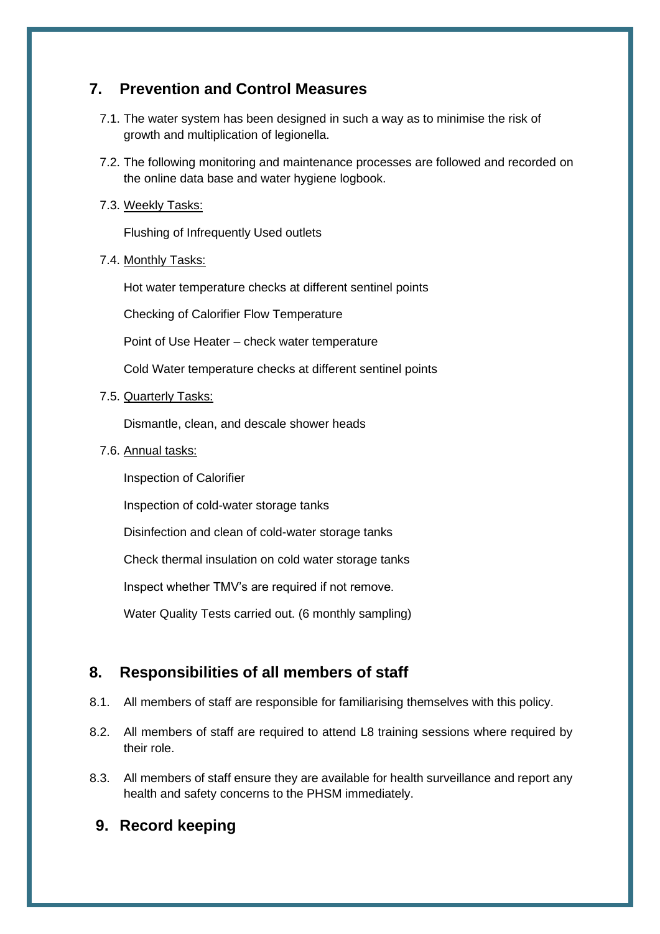#### **7. Prevention and Control Measures**

- 7.1. The water system has been designed in such a way as to minimise the risk of growth and multiplication of legionella.
- 7.2. The following monitoring and maintenance processes are followed and recorded on the online data base and water hygiene logbook.
- 7.3. Weekly Tasks:

Flushing of Infrequently Used outlets

7.4. Monthly Tasks:

Hot water temperature checks at different sentinel points

Checking of Calorifier Flow Temperature

Point of Use Heater – check water temperature

Cold Water temperature checks at different sentinel points

7.5. Quarterly Tasks:

Dismantle, clean, and descale shower heads

7.6. Annual tasks:

Inspection of Calorifier

Inspection of cold-water storage tanks

Disinfection and clean of cold-water storage tanks

Check thermal insulation on cold water storage tanks

Inspect whether TMV's are required if not remove.

Water Quality Tests carried out. (6 monthly sampling)

### **8. Responsibilities of all members of staff**

- <span id="page-5-0"></span>8.1. All members of staff are responsible for familiarising themselves with this policy.
- 8.2. All members of staff are required to attend L8 training sessions where required by their role.
- 8.3. All members of staff ensure they are available for health surveillance and report any health and safety concerns to the PHSM immediately.
- **9. Record keeping**